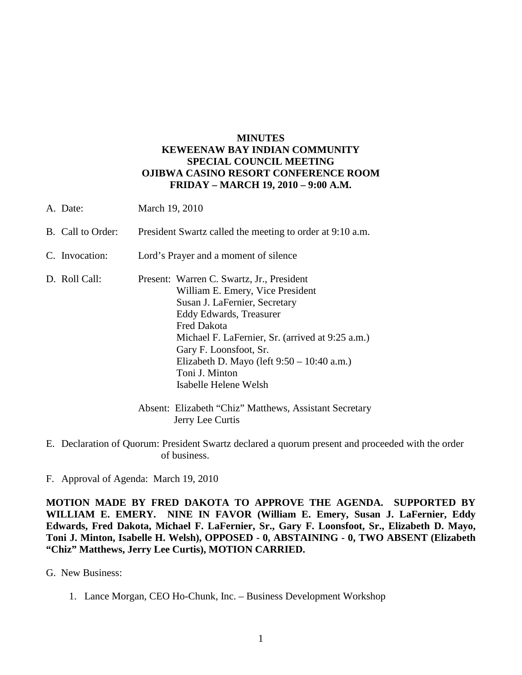## **MINUTES KEWEENAW BAY INDIAN COMMUNITY SPECIAL COUNCIL MEETING OJIBWA CASINO RESORT CONFERENCE ROOM FRIDAY – MARCH 19, 2010 – 9:00 A.M.**

- A. Date: March 19, 2010
- B. Call to Order: President Swartz called the meeting to order at 9:10 a.m.
- C. Invocation: Lord's Prayer and a moment of silence
- D. Roll Call: Present: Warren C. Swartz, Jr., President William E. Emery, Vice President Susan J. LaFernier, Secretary Eddy Edwards, Treasurer Fred Dakota Michael F. LaFernier, Sr. (arrived at 9:25 a.m.) Gary F. Loonsfoot, Sr. Elizabeth D. Mayo (left 9:50 – 10:40 a.m.) Toni J. Minton Isabelle Helene Welsh

 Absent: Elizabeth "Chiz" Matthews, Assistant Secretary Jerry Lee Curtis

- E. Declaration of Quorum: President Swartz declared a quorum present and proceeded with the order of business.
- F. Approval of Agenda: March 19, 2010

**MOTION MADE BY FRED DAKOTA TO APPROVE THE AGENDA. SUPPORTED BY WILLIAM E. EMERY. NINE IN FAVOR (William E. Emery, Susan J. LaFernier, Eddy Edwards, Fred Dakota, Michael F. LaFernier, Sr., Gary F. Loonsfoot, Sr., Elizabeth D. Mayo, Toni J. Minton, Isabelle H. Welsh), OPPOSED - 0, ABSTAINING - 0, TWO ABSENT (Elizabeth "Chiz" Matthews, Jerry Lee Curtis), MOTION CARRIED.**

G. New Business:

1. Lance Morgan, CEO Ho-Chunk, Inc. – Business Development Workshop